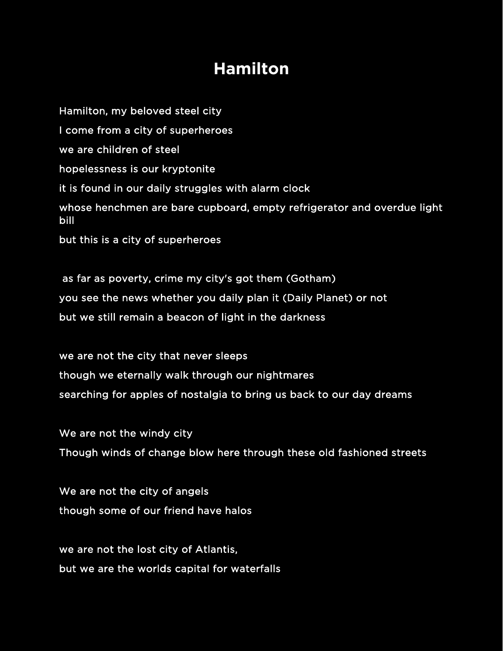## **Hamilton**

Hamilton, my beloved steel city I come from a city of superheroes we are children of steel hopelessness is our kryptonite it is found in our daily struggles with alarm clock whose henchmen are bare cupboard, empty refrigerator and overdue light bill but this is a city of superheroes

 as far as poverty, crime my city's got them (Gotham) you see the news whether you daily plan it (Daily Planet) or not but we still remain a beacon of light in the darkness

we are not the city that never sleeps though we eternally walk through our nightmares searching for apples of nostalgia to bring us back to our day dreams

We are not the windy city Though winds of change blow here through these old fashioned streets

We are not the city of angels though some of our friend have halos

we are not the lost city of Atlantis, but we are the worlds capital for waterfalls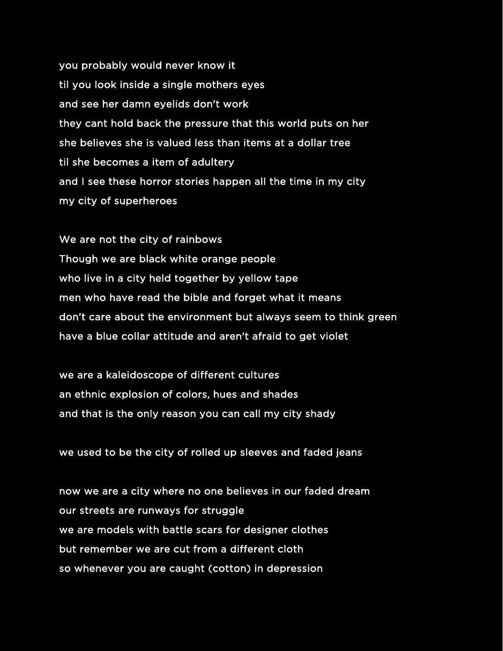you probably would never know it til you look inside a single mothers eyes and see her damn eyelids don't work they cant hold back the pressure that this world puts on her she believes she is valued less than items at a dollar tree til she becomes a item of adultery and I see these horror stories happen all the time in my city my city of superheroes

We are not the city of rainbows Though we are black white orange people who live in a city held together by yellow tape men who have read the bible and forget what it means don't care about the environment but always seem to think green have a blue collar attitude and aren't afraid to get violet

we are a kaleidoscope of different cultures an ethnic explosion of colors, hues and shades and that is the only reason you can call my city shady

we used to be the city of rolled up sleeves and faded jeans

now we are a city where no one believes in our faded dream our streets are runways for struggle we are models with battle scars for designer clothes but remember we are cut from a different cloth so whenever you are caught (cotton) in depression